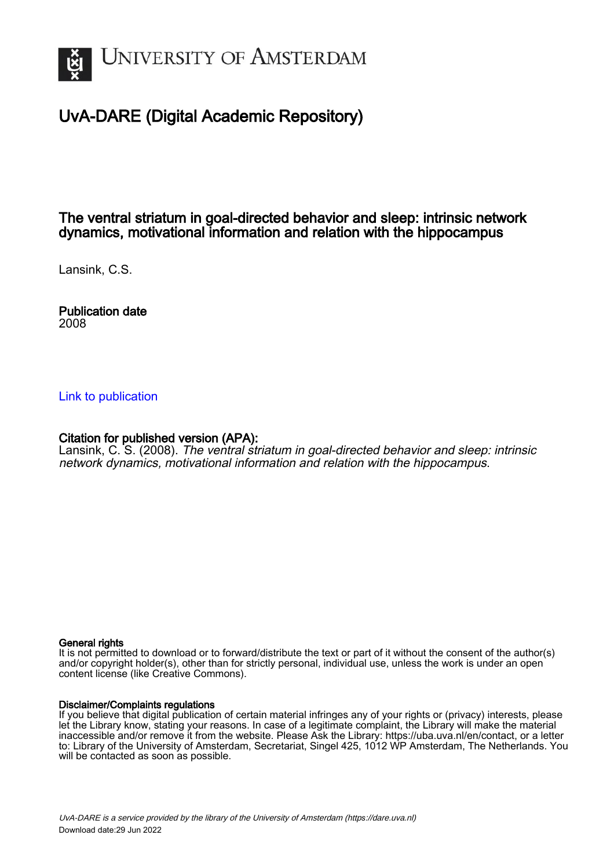

# UvA-DARE (Digital Academic Repository)

## The ventral striatum in goal-directed behavior and sleep: intrinsic network dynamics, motivational information and relation with the hippocampus

Lansink, C.S.

Publication date 2008

### [Link to publication](https://dare.uva.nl/personal/pure/en/publications/the-ventral-striatum-in-goaldirected-behavior-and-sleep-intrinsic-network-dynamics-motivational-information-and-relation-with-the-hippocampus(2d2e6b37-7fe3-48be-937b-63f0ac0ca61e).html)

### Citation for published version (APA):

Lansink, C. S. (2008). The ventral striatum in goal-directed behavior and sleep: intrinsic network dynamics, motivational information and relation with the hippocampus.

#### General rights

It is not permitted to download or to forward/distribute the text or part of it without the consent of the author(s) and/or copyright holder(s), other than for strictly personal, individual use, unless the work is under an open content license (like Creative Commons).

#### Disclaimer/Complaints regulations

If you believe that digital publication of certain material infringes any of your rights or (privacy) interests, please let the Library know, stating your reasons. In case of a legitimate complaint, the Library will make the material inaccessible and/or remove it from the website. Please Ask the Library: https://uba.uva.nl/en/contact, or a letter to: Library of the University of Amsterdam, Secretariat, Singel 425, 1012 WP Amsterdam, The Netherlands. You will be contacted as soon as possible.